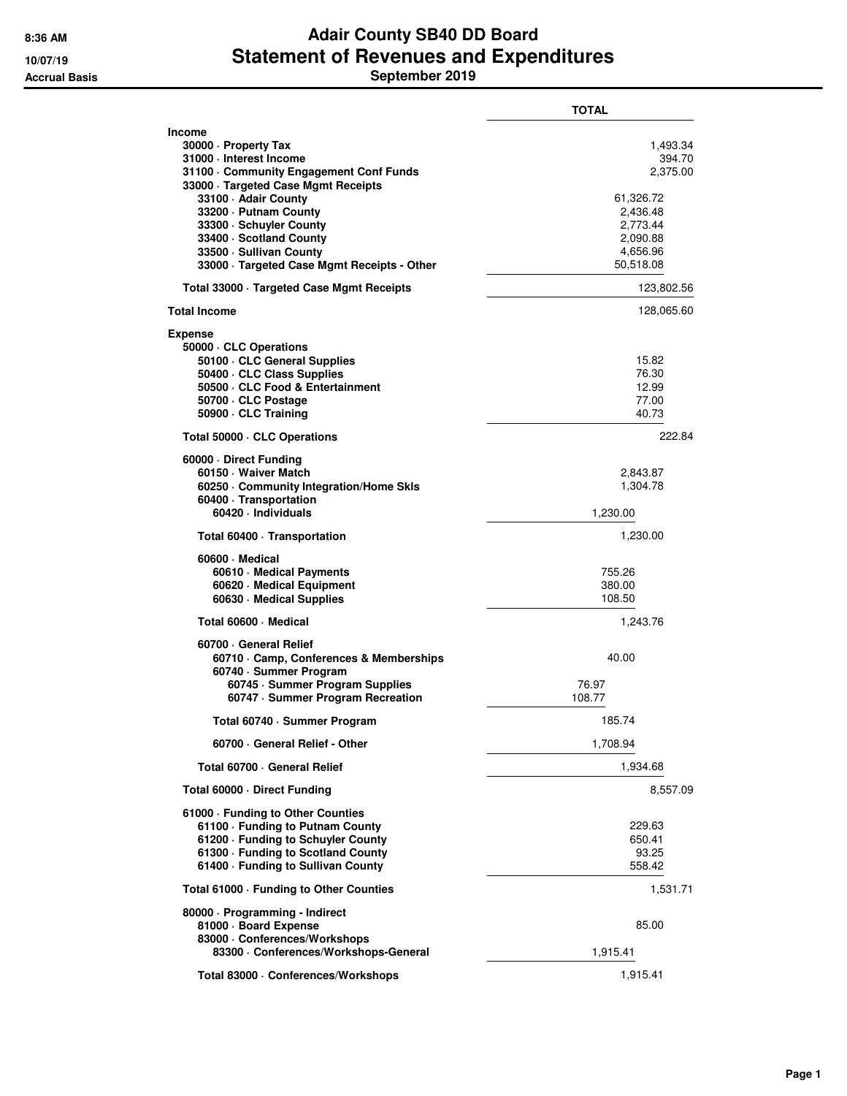## **8:36 AM Adair County SB40 DD Board 10/07/19 Statement of Revenues and Expenditures Accrual Basis September 2019**

|                                                                                                                                                                                                                                                                                                                                   | <b>TOTAL</b>                                                                                             |
|-----------------------------------------------------------------------------------------------------------------------------------------------------------------------------------------------------------------------------------------------------------------------------------------------------------------------------------|----------------------------------------------------------------------------------------------------------|
| <b>Income</b><br>30000 · Property Tax<br>31000 - Interest Income<br>31100 Community Engagement Conf Funds<br>33000 · Targeted Case Mgmt Receipts<br>33100 - Adair County<br>33200 - Putnam County<br>33300 - Schuyler County<br>33400 · Scotland County<br>33500 · Sullivan County<br>33000 · Targeted Case Mgmt Receipts - Other | 1,493.34<br>394.70<br>2,375.00<br>61,326.72<br>2,436.48<br>2,773.44<br>2,090.88<br>4,656.96<br>50,518.08 |
| Total 33000 Targeted Case Mgmt Receipts                                                                                                                                                                                                                                                                                           | 123,802.56                                                                                               |
| <b>Total Income</b>                                                                                                                                                                                                                                                                                                               | 128,065.60                                                                                               |
| Expense<br>50000 · CLC Operations<br>50100 · CLC General Supplies<br>50400 · CLC Class Supplies<br>50500 CLC Food & Entertainment<br>50700 · CLC Postage<br>50900 · CLC Training                                                                                                                                                  | 15.82<br>76.30<br>12.99<br>77.00<br>40.73                                                                |
| Total 50000 · CLC Operations                                                                                                                                                                                                                                                                                                      | 222.84                                                                                                   |
| 60000 Direct Funding<br>60150 · Waiver Match<br>60250 Community Integration/Home Skls<br>60400 · Transportation<br>60420 · Individuals                                                                                                                                                                                            | 2,843.87<br>1,304.78<br>1,230.00                                                                         |
| Total 60400 · Transportation                                                                                                                                                                                                                                                                                                      | 1,230.00                                                                                                 |
| 60600 Medical<br>60610 · Medical Payments<br>60620 · Medical Equipment<br>60630 · Medical Supplies                                                                                                                                                                                                                                | 755.26<br>380.00<br>108.50                                                                               |
| Total 60600 - Medical                                                                                                                                                                                                                                                                                                             | 1,243.76                                                                                                 |
| 60700 General Relief<br>60710 Camp, Conferences & Memberships<br>60740 · Summer Program<br>60745 · Summer Program Supplies<br>60747 · Summer Program Recreation                                                                                                                                                                   | 40.00<br>76.97<br>108.77                                                                                 |
| Total 60740 · Summer Program                                                                                                                                                                                                                                                                                                      | 185.74                                                                                                   |
| 60700 · General Relief - Other                                                                                                                                                                                                                                                                                                    | 1,708.94                                                                                                 |
| Total 60700 General Relief                                                                                                                                                                                                                                                                                                        | 1,934.68                                                                                                 |
| Total 60000 Direct Funding                                                                                                                                                                                                                                                                                                        | 8,557.09                                                                                                 |
| 61000 · Funding to Other Counties<br>61100 · Funding to Putnam County<br>61200 · Funding to Schuyler County<br>61300 - Funding to Scotland County<br>61400 - Funding to Sullivan County                                                                                                                                           | 229.63<br>650.41<br>93.25<br>558.42                                                                      |
| Total 61000 · Funding to Other Counties                                                                                                                                                                                                                                                                                           | 1,531.71                                                                                                 |
| 80000 · Programming - Indirect<br>81000 · Board Expense<br>83000 · Conferences/Workshops<br>83300 · Conferences/Workshops-General                                                                                                                                                                                                 | 85.00<br>1,915.41                                                                                        |
| Total 83000 · Conferences/Workshops                                                                                                                                                                                                                                                                                               | 1,915.41                                                                                                 |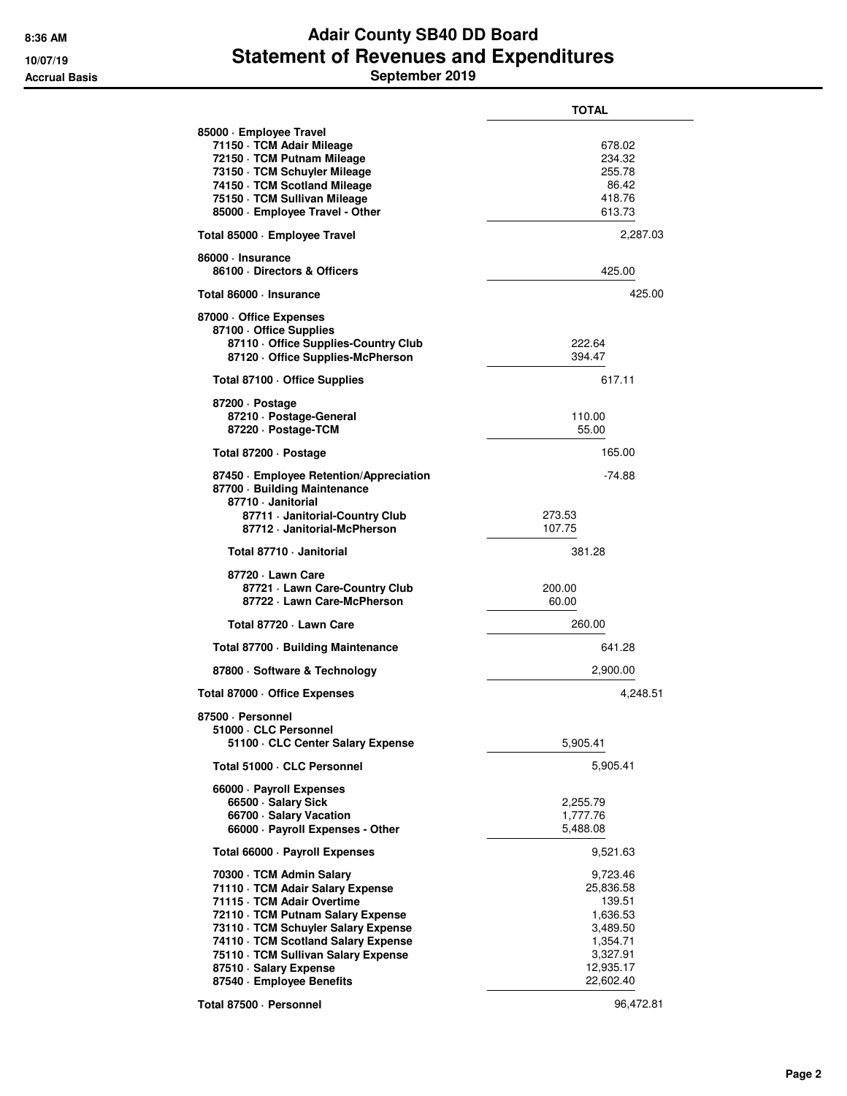## **8:36 AM Adair County SB40 DD Board 10/07/19 Statement of Revenues and Expenditures Accrual Basis September 2019**

|                                                                                                                                                                                                                                                                                                             | <b>TOTAL</b>                                                                                              |
|-------------------------------------------------------------------------------------------------------------------------------------------------------------------------------------------------------------------------------------------------------------------------------------------------------------|-----------------------------------------------------------------------------------------------------------|
| 85000 · Employee Travel<br>71150 · TCM Adair Mileage<br>72150 · TCM Putnam Mileage<br>73150 · TCM Schuyler Mileage<br>74150 · TCM Scotland Mileage<br>75150 · TCM Sullivan Mileage<br>85000 · Employee Travel - Other                                                                                       | 678.02<br>234.32<br>255.78<br>86.42<br>418.76<br>613.73                                                   |
| Total 85000 · Employee Travel                                                                                                                                                                                                                                                                               | 2,287.03                                                                                                  |
| 86000 · Insurance<br>86100 Directors & Officers                                                                                                                                                                                                                                                             | 425.00                                                                                                    |
| Total 86000 · Insurance                                                                                                                                                                                                                                                                                     | 425.00                                                                                                    |
| 87000 Office Expenses<br>87100 Office Supplies<br>87110 Office Supplies-Country Club<br>87120 Office Supplies-McPherson                                                                                                                                                                                     | 222.64<br>394.47                                                                                          |
| Total 87100 · Office Supplies                                                                                                                                                                                                                                                                               | 617.11                                                                                                    |
| 87200 Dostage<br>87210 · Postage-General<br>87220 · Postage-TCM                                                                                                                                                                                                                                             | 110.00<br>55.00                                                                                           |
| Total 87200 · Postage                                                                                                                                                                                                                                                                                       | 165.00                                                                                                    |
| 87450 · Employee Retention/Appreciation<br>87700 Building Maintenance<br>87710 · Janitorial<br>87711 · Janitorial-Country Club<br>87712 · Janitorial-McPherson                                                                                                                                              | $-74.88$<br>273.53<br>107.75                                                                              |
| Total 87710 · Janitorial                                                                                                                                                                                                                                                                                    | 381.28                                                                                                    |
| 87720 - Lawn Care<br>87721 - Lawn Care-Country Club<br>87722 · Lawn Care-McPherson                                                                                                                                                                                                                          | 200.00<br>60.00                                                                                           |
| Total 87720 - Lawn Care                                                                                                                                                                                                                                                                                     | 260.00                                                                                                    |
| Total 87700 Building Maintenance                                                                                                                                                                                                                                                                            | 641.28                                                                                                    |
| 87800 · Software & Technology                                                                                                                                                                                                                                                                               | 2,900.00                                                                                                  |
| Total 87000 Office Expenses                                                                                                                                                                                                                                                                                 | 4,248.51                                                                                                  |
| 87500 · Personnel<br>51000 CLC Personnel<br>51100 · CLC Center Salary Expense                                                                                                                                                                                                                               | 5,905.41                                                                                                  |
| Total 51000 · CLC Personnel                                                                                                                                                                                                                                                                                 | 5,905.41                                                                                                  |
| 66000 · Payroll Expenses<br>66500 · Salary Sick<br>66700 · Salary Vacation<br>66000 · Payroll Expenses - Other                                                                                                                                                                                              | 2,255.79<br>1,777.76<br>5,488.08                                                                          |
| Total 66000 · Payroll Expenses                                                                                                                                                                                                                                                                              | 9,521.63                                                                                                  |
| 70300 · TCM Admin Salary<br>71110 · TCM Adair Salary Expense<br>71115 · TCM Adair Overtime<br>72110 · TCM Putnam Salary Expense<br>73110 · TCM Schuyler Salary Expense<br>74110 · TCM Scotland Salary Expense<br>75110 · TCM Sullivan Salary Expense<br>87510 · Salary Expense<br>87540 · Employee Benefits | 9,723.46<br>25,836.58<br>139.51<br>1,636.53<br>3,489.50<br>1,354.71<br>3,327.91<br>12,935.17<br>22,602.40 |
| Total 87500 · Personnel                                                                                                                                                                                                                                                                                     | 96,472.81                                                                                                 |